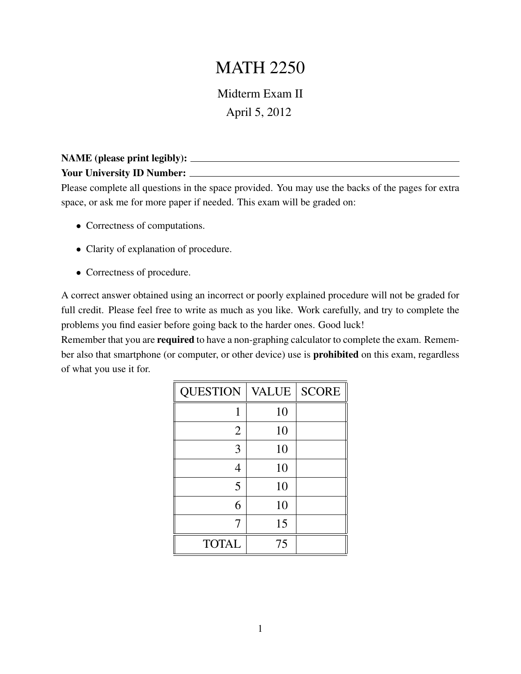## MATH 2250

Midterm Exam II April 5, 2012

## NAME (please print legibly): Your University ID Number:

Please complete all questions in the space provided. You may use the backs of the pages for extra space, or ask me for more paper if needed. This exam will be graded on:

- Correctness of computations.
- Clarity of explanation of procedure.
- Correctness of procedure.

A correct answer obtained using an incorrect or poorly explained procedure will not be graded for full credit. Please feel free to write as much as you like. Work carefully, and try to complete the problems you find easier before going back to the harder ones. Good luck!

Remember that you are **required** to have a non-graphing calculator to complete the exam. Remember also that smartphone (or computer, or other device) use is prohibited on this exam, regardless of what you use it for.

| <b>QUESTION</b> | <b>VALUE</b> | <b>SCORE</b> |
|-----------------|--------------|--------------|
| 1               | 10           |              |
| $\overline{2}$  | 10           |              |
| 3               | 10           |              |
| 4               | 10           |              |
| 5               | 10           |              |
| 6               | 10           |              |
| 7               | 15           |              |
| <b>TOTAL</b>    | 75           |              |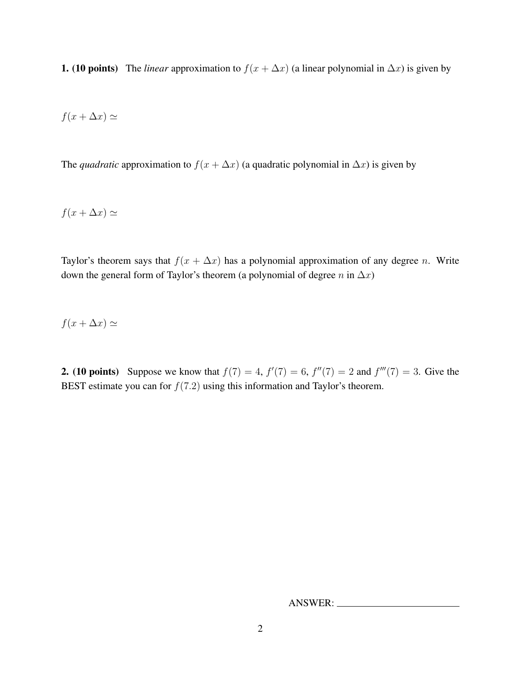1. (10 points) The *linear* approximation to  $f(x + \Delta x)$  (a linear polynomial in  $\Delta x$ ) is given by

$$
f(x + \Delta x) \simeq
$$

The *quadratic* approximation to  $f(x + \Delta x)$  (a quadratic polynomial in  $\Delta x$ ) is given by

$$
f(x + \Delta x) \simeq
$$

Taylor's theorem says that  $f(x + \Delta x)$  has a polynomial approximation of any degree n. Write down the general form of Taylor's theorem (a polynomial of degree  $n$  in  $\Delta x$ )

 $f(x + \Delta x) \simeq$ 

**2.** (10 points) Suppose we know that  $f(7) = 4$ ,  $f'(7) = 6$ ,  $f''(7) = 2$  and  $f'''(7) = 3$ . Give the BEST estimate you can for  $f(7.2)$  using this information and Taylor's theorem.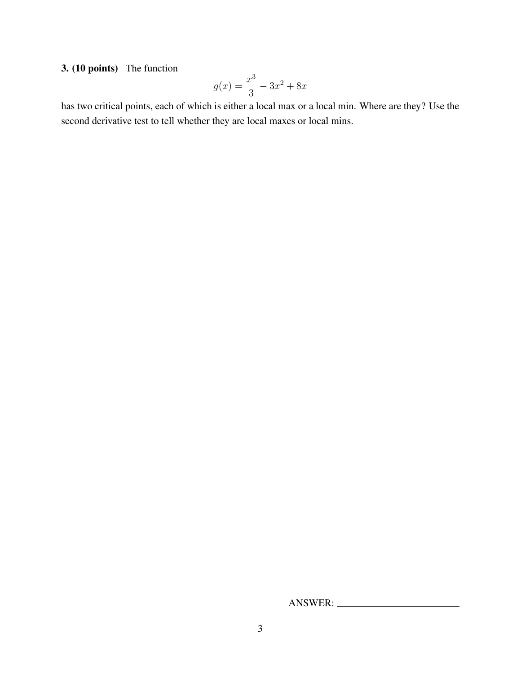3. (10 points) The function

$$
g(x) = \frac{x^3}{3} - 3x^2 + 8x
$$

has two critical points, each of which is either a local max or a local min. Where are they? Use the second derivative test to tell whether they are local maxes or local mins.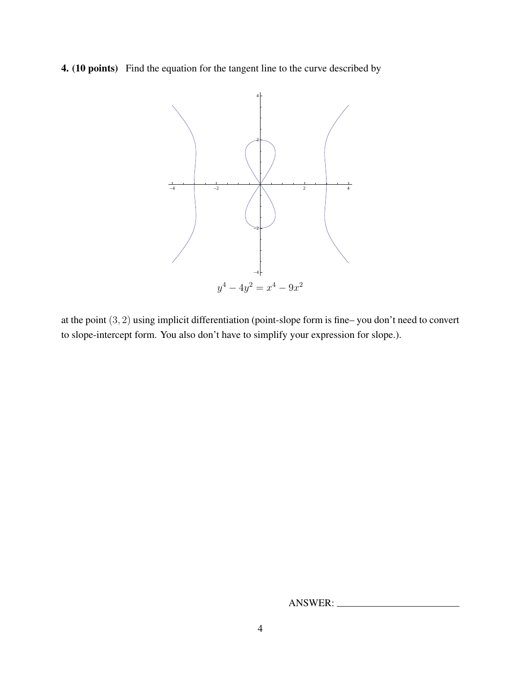4. (10 points) Find the equation for the tangent line to the curve described by



at the point (3, 2) using implicit differentiation (point-slope form is fine– you don't need to convert to slope-intercept form. You also don't have to simplify your expression for slope.).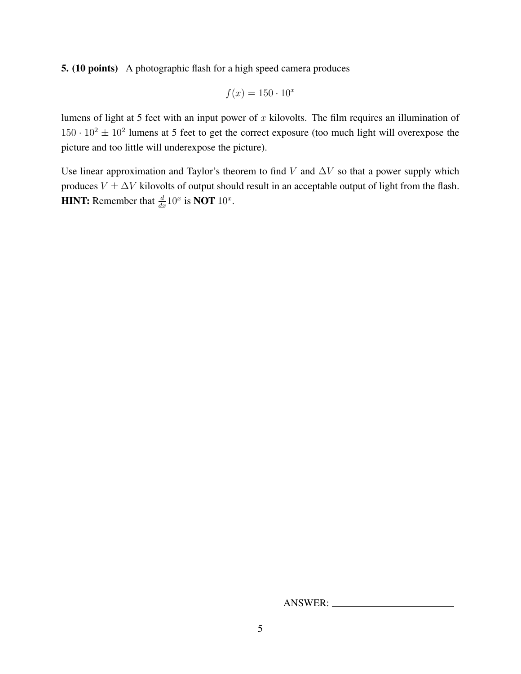5. (10 points) A photographic flash for a high speed camera produces

$$
f(x) = 150 \cdot 10^x
$$

lumens of light at 5 feet with an input power of  $x$  kilovolts. The film requires an illumination of  $150 \cdot 10^2 \pm 10^2$  lumens at 5 feet to get the correct exposure (too much light will overexpose the picture and too little will underexpose the picture).

Use linear approximation and Taylor's theorem to find V and  $\Delta V$  so that a power supply which produces  $V \pm \Delta V$  kilovolts of output should result in an acceptable output of light from the flash. **HINT:** Remember that  $\frac{d}{dx}10^x$  is **NOT**  $10^x$ .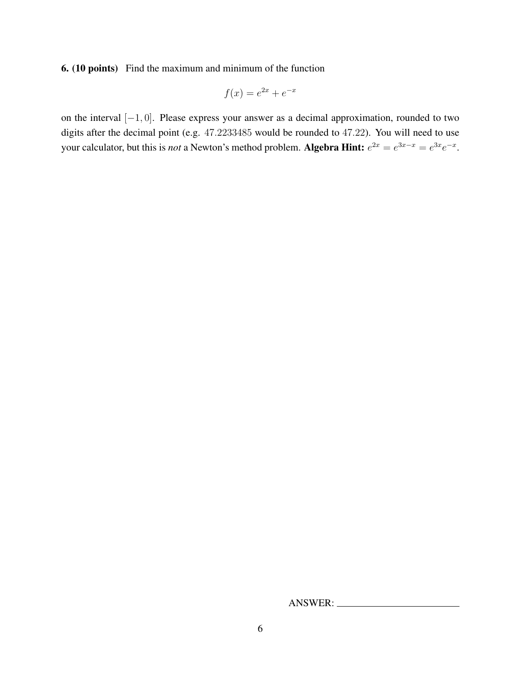6. (10 points) Find the maximum and minimum of the function

$$
f(x) = e^{2x} + e^{-x}
$$

on the interval [−1, 0]. Please express your answer as a decimal approximation, rounded to two digits after the decimal point (e.g. 47.2233485 would be rounded to 47.22). You will need to use your calculator, but this is *not* a Newton's method problem. Algebra Hint:  $e^{2x} = e^{3x-x} = e^{3x}e^{-x}$ .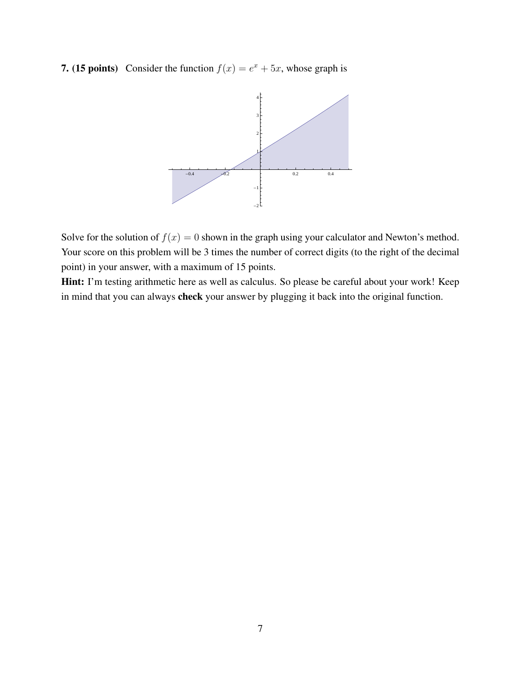**7.** (15 points) Consider the function  $f(x) = e^x + 5x$ , whose graph is



Solve for the solution of  $f(x) = 0$  shown in the graph using your calculator and Newton's method. Your score on this problem will be 3 times the number of correct digits (to the right of the decimal point) in your answer, with a maximum of 15 points.

Hint: I'm testing arithmetic here as well as calculus. So please be careful about your work! Keep in mind that you can always check your answer by plugging it back into the original function.